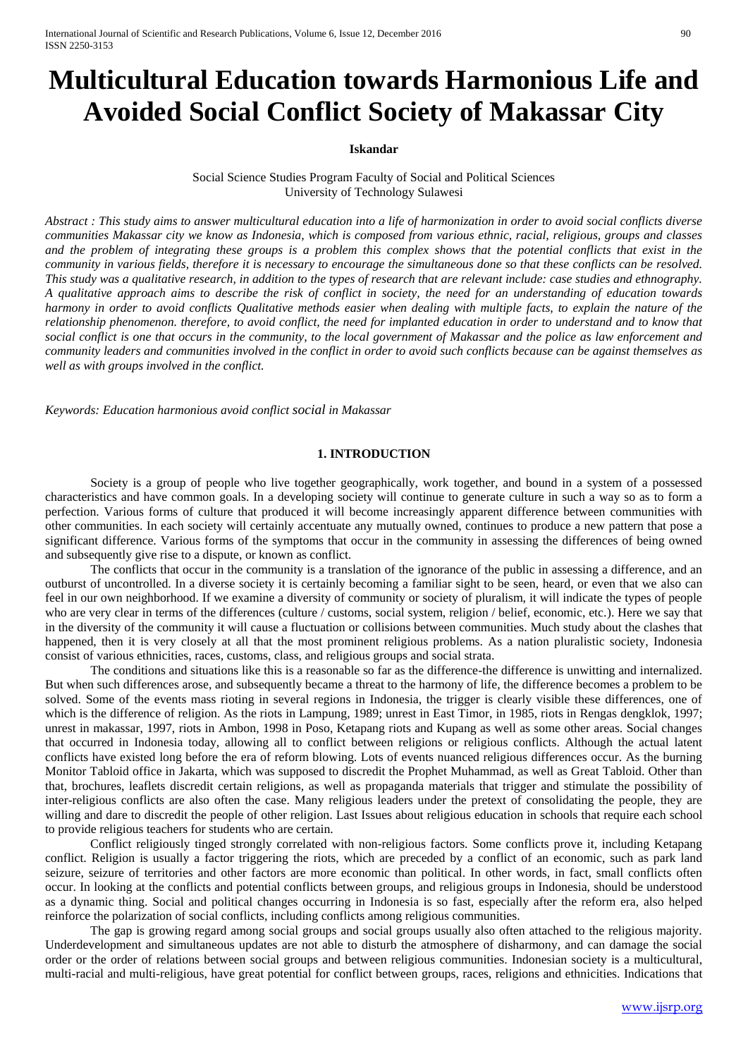# **Multicultural Education towards Harmonious Life and Avoided Social Conflict Society of Makassar City**

## **Iskandar**

Social Science Studies Program Faculty of Social and Political Sciences University of Technology Sulawesi

*Abstract : This study aims to answer multicultural education into a life of harmonization in order to avoid social conflicts diverse communities Makassar city we know as Indonesia, which is composed from various ethnic, racial, religious, groups and classes and the problem of integrating these groups is a problem this complex shows that the potential conflicts that exist in the community in various fields, therefore it is necessary to encourage the simultaneous done so that these conflicts can be resolved. This study was a qualitative research, in addition to the types of research that are relevant include: case studies and ethnography. A qualitative approach aims to describe the risk of conflict in society, the need for an understanding of education towards harmony in order to avoid conflicts Qualitative methods easier when dealing with multiple facts, to explain the nature of the relationship phenomenon. therefore, to avoid conflict, the need for implanted education in order to understand and to know that social conflict is one that occurs in the community, to the local government of Makassar and the police as law enforcement and community leaders and communities involved in the conflict in order to avoid such conflicts because can be against themselves as well as with groups involved in the conflict.*

*Keywords: Education harmonious avoid conflict social in Makassar*

## **1. INTRODUCTION**

Society is a group of people who live together geographically, work together, and bound in a system of a possessed characteristics and have common goals. In a developing society will continue to generate culture in such a way so as to form a perfection. Various forms of culture that produced it will become increasingly apparent difference between communities with other communities. In each society will certainly accentuate any mutually owned, continues to produce a new pattern that pose a significant difference. Various forms of the symptoms that occur in the community in assessing the differences of being owned and subsequently give rise to a dispute, or known as conflict.

The conflicts that occur in the community is a translation of the ignorance of the public in assessing a difference, and an outburst of uncontrolled. In a diverse society it is certainly becoming a familiar sight to be seen, heard, or even that we also can feel in our own neighborhood. If we examine a diversity of community or society of pluralism, it will indicate the types of people who are very clear in terms of the differences (culture / customs, social system, religion / belief, economic, etc.). Here we say that in the diversity of the community it will cause a fluctuation or collisions between communities. Much study about the clashes that happened, then it is very closely at all that the most prominent religious problems. As a nation pluralistic society, Indonesia consist of various ethnicities, races, customs, class, and religious groups and social strata.

The conditions and situations like this is a reasonable so far as the difference-the difference is unwitting and internalized. But when such differences arose, and subsequently became a threat to the harmony of life, the difference becomes a problem to be solved. Some of the events mass rioting in several regions in Indonesia, the trigger is clearly visible these differences, one of which is the difference of religion. As the riots in Lampung, 1989; unrest in East Timor, in 1985, riots in Rengas dengklok, 1997; unrest in makassar, 1997, riots in Ambon, 1998 in Poso, Ketapang riots and Kupang as well as some other areas. Social changes that occurred in Indonesia today, allowing all to conflict between religions or religious conflicts. Although the actual latent conflicts have existed long before the era of reform blowing. Lots of events nuanced religious differences occur. As the burning Monitor Tabloid office in Jakarta, which was supposed to discredit the Prophet Muhammad, as well as Great Tabloid. Other than that, brochures, leaflets discredit certain religions, as well as propaganda materials that trigger and stimulate the possibility of inter-religious conflicts are also often the case. Many religious leaders under the pretext of consolidating the people, they are willing and dare to discredit the people of other religion. Last Issues about religious education in schools that require each school to provide religious teachers for students who are certain.

Conflict religiously tinged strongly correlated with non-religious factors. Some conflicts prove it, including Ketapang conflict. Religion is usually a factor triggering the riots, which are preceded by a conflict of an economic, such as park land seizure, seizure of territories and other factors are more economic than political. In other words, in fact, small conflicts often occur. In looking at the conflicts and potential conflicts between groups, and religious groups in Indonesia, should be understood as a dynamic thing. Social and political changes occurring in Indonesia is so fast, especially after the reform era, also helped reinforce the polarization of social conflicts, including conflicts among religious communities.

The gap is growing regard among social groups and social groups usually also often attached to the religious majority. Underdevelopment and simultaneous updates are not able to disturb the atmosphere of disharmony, and can damage the social order or the order of relations between social groups and between religious communities. Indonesian society is a multicultural, multi-racial and multi-religious, have great potential for conflict between groups, races, religions and ethnicities. Indications that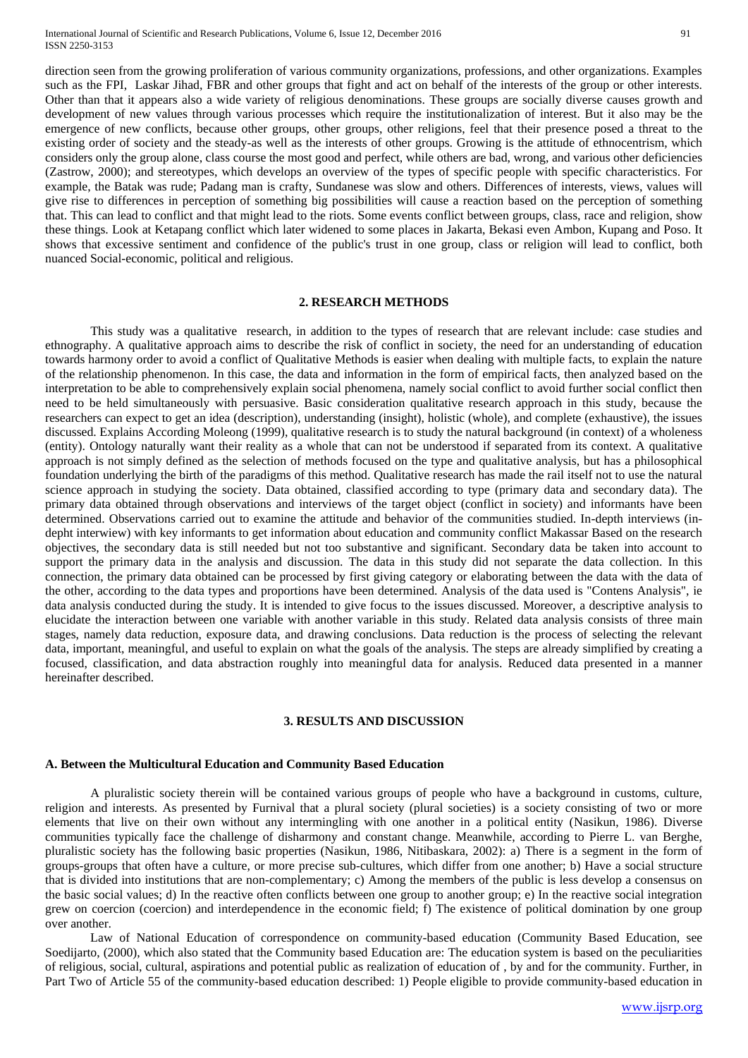direction seen from the growing proliferation of various community organizations, professions, and other organizations. Examples such as the FPI, Laskar Jihad, FBR and other groups that fight and act on behalf of the interests of the group or other interests. Other than that it appears also a wide variety of religious denominations. These groups are socially diverse causes growth and development of new values through various processes which require the institutionalization of interest. But it also may be the emergence of new conflicts, because other groups, other groups, other religions, feel that their presence posed a threat to the existing order of society and the steady-as well as the interests of other groups. Growing is the attitude of ethnocentrism, which considers only the group alone, class course the most good and perfect, while others are bad, wrong, and various other deficiencies (Zastrow, 2000); and stereotypes, which develops an overview of the types of specific people with specific characteristics. For example, the Batak was rude; Padang man is crafty, Sundanese was slow and others. Differences of interests, views, values will give rise to differences in perception of something big possibilities will cause a reaction based on the perception of something that. This can lead to conflict and that might lead to the riots. Some events conflict between groups, class, race and religion, show these things. Look at Ketapang conflict which later widened to some places in Jakarta, Bekasi even Ambon, Kupang and Poso. It shows that excessive sentiment and confidence of the public's trust in one group, class or religion will lead to conflict, both nuanced Social-economic, political and religious.

#### **2. RESEARCH METHODS**

This study was a qualitative research, in addition to the types of research that are relevant include: case studies and ethnography. A qualitative approach aims to describe the risk of conflict in society, the need for an understanding of education towards harmony order to avoid a conflict of Qualitative Methods is easier when dealing with multiple facts, to explain the nature of the relationship phenomenon. In this case, the data and information in the form of empirical facts, then analyzed based on the interpretation to be able to comprehensively explain social phenomena, namely social conflict to avoid further social conflict then need to be held simultaneously with persuasive. Basic consideration qualitative research approach in this study, because the researchers can expect to get an idea (description), understanding (insight), holistic (whole), and complete (exhaustive), the issues discussed. Explains According Moleong (1999), qualitative research is to study the natural background (in context) of a wholeness (entity). Ontology naturally want their reality as a whole that can not be understood if separated from its context. A qualitative approach is not simply defined as the selection of methods focused on the type and qualitative analysis, but has a philosophical foundation underlying the birth of the paradigms of this method. Qualitative research has made the rail itself not to use the natural science approach in studying the society. Data obtained, classified according to type (primary data and secondary data). The primary data obtained through observations and interviews of the target object (conflict in society) and informants have been determined. Observations carried out to examine the attitude and behavior of the communities studied. In-depth interviews (indepht interwiew) with key informants to get information about education and community conflict Makassar Based on the research objectives, the secondary data is still needed but not too substantive and significant. Secondary data be taken into account to support the primary data in the analysis and discussion. The data in this study did not separate the data collection. In this connection, the primary data obtained can be processed by first giving category or elaborating between the data with the data of the other, according to the data types and proportions have been determined. Analysis of the data used is "Contens Analysis", ie data analysis conducted during the study. It is intended to give focus to the issues discussed. Moreover, a descriptive analysis to elucidate the interaction between one variable with another variable in this study. Related data analysis consists of three main stages, namely data reduction, exposure data, and drawing conclusions. Data reduction is the process of selecting the relevant data, important, meaningful, and useful to explain on what the goals of the analysis. The steps are already simplified by creating a focused, classification, and data abstraction roughly into meaningful data for analysis. Reduced data presented in a manner hereinafter described.

## **3. RESULTS AND DISCUSSION**

#### **A. Between the Multicultural Education and Community Based Education**

A pluralistic society therein will be contained various groups of people who have a background in customs, culture, religion and interests. As presented by Furnival that a plural society (plural societies) is a society consisting of two or more elements that live on their own without any intermingling with one another in a political entity (Nasikun, 1986). Diverse communities typically face the challenge of disharmony and constant change. Meanwhile, according to Pierre L. van Berghe, pluralistic society has the following basic properties (Nasikun, 1986, Nitibaskara, 2002): a) There is a segment in the form of groups-groups that often have a culture, or more precise sub-cultures, which differ from one another; b) Have a social structure that is divided into institutions that are non-complementary; c) Among the members of the public is less develop a consensus on the basic social values; d) In the reactive often conflicts between one group to another group; e) In the reactive social integration grew on coercion (coercion) and interdependence in the economic field; f) The existence of political domination by one group over another.

Law of National Education of correspondence on community-based education (Community Based Education, see Soedijarto, (2000), which also stated that the Community based Education are: The education system is based on the peculiarities of religious, social, cultural, aspirations and potential public as realization of education of , by and for the community. Further, in Part Two of Article 55 of the community-based education described: 1) People eligible to provide community-based education in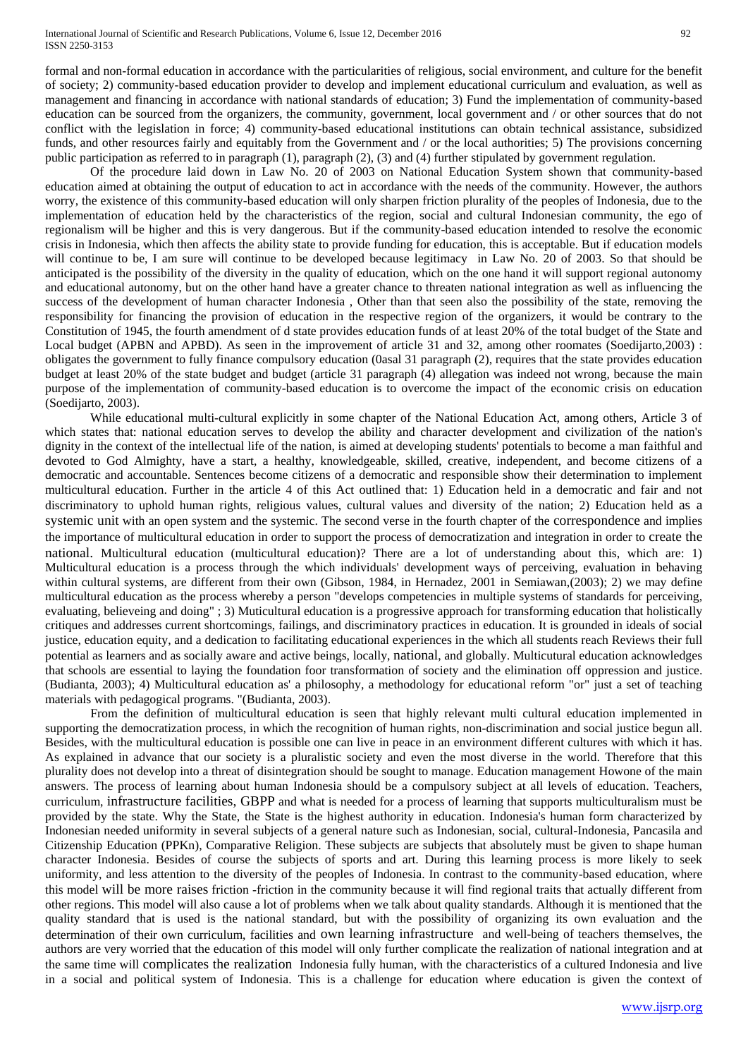formal and non-formal education in accordance with the particularities of religious, social environment, and culture for the benefit of society; 2) community-based education provider to develop and implement educational curriculum and evaluation, as well as management and financing in accordance with national standards of education; 3) Fund the implementation of community-based education can be sourced from the organizers, the community, government, local government and / or other sources that do not conflict with the legislation in force; 4) community-based educational institutions can obtain technical assistance, subsidized funds, and other resources fairly and equitably from the Government and / or the local authorities; 5) The provisions concerning public participation as referred to in paragraph (1), paragraph (2), (3) and (4) further stipulated by government regulation.

Of the procedure laid down in Law No. 20 of 2003 on National Education System shown that community-based education aimed at obtaining the output of education to act in accordance with the needs of the community. However, the authors worry, the existence of this community-based education will only sharpen friction plurality of the peoples of Indonesia, due to the implementation of education held by the characteristics of the region, social and cultural Indonesian community, the ego of regionalism will be higher and this is very dangerous. But if the community-based education intended to resolve the economic crisis in Indonesia, which then affects the ability state to provide funding for education, this is acceptable. But if education models will continue to be, I am sure will continue to be developed because legitimacy in Law No. 20 of 2003. So that should be anticipated is the possibility of the diversity in the quality of education, which on the one hand it will support regional autonomy and educational autonomy, but on the other hand have a greater chance to threaten national integration as well as influencing the success of the development of human character Indonesia , Other than that seen also the possibility of the state, removing the responsibility for financing the provision of education in the respective region of the organizers, it would be contrary to the Constitution of 1945, the fourth amendment of d state provides education funds of at least 20% of the total budget of the State and Local budget (APBN and APBD). As seen in the improvement of article 31 and 32, among other roomates (Soedijarto,2003) : obligates the government to fully finance compulsory education (0asal 31 paragraph (2), requires that the state provides education budget at least 20% of the state budget and budget (article 31 paragraph (4) allegation was indeed not wrong, because the main purpose of the implementation of community-based education is to overcome the impact of the economic crisis on education (Soedijarto, 2003).

While educational multi-cultural explicitly in some chapter of the National Education Act, among others, Article 3 of which states that: national education serves to develop the ability and character development and civilization of the nation's dignity in the context of the intellectual life of the nation, is aimed at developing students' potentials to become a man faithful and devoted to God Almighty, have a start, a healthy, knowledgeable, skilled, creative, independent, and become citizens of a democratic and accountable. Sentences become citizens of a democratic and responsible show their determination to implement multicultural education. Further in the article 4 of this Act outlined that: 1) Education held in a democratic and fair and not discriminatory to uphold human rights, religious values, cultural values and diversity of the nation; 2) Education held as a systemic unit with an open system and the systemic. The second verse in the fourth chapter of the correspondence and implies the importance of multicultural education in order to support the process of democratization and integration in order to create the national. Multicultural education (multicultural education)? There are a lot of understanding about this, which are: 1) Multicultural education is a process through the which individuals' development ways of perceiving, evaluation in behaving within cultural systems, are different from their own (Gibson, 1984, in Hernadez, 2001 in Semiawan,(2003); 2) we may define multicultural education as the process whereby a person "develops competencies in multiple systems of standards for perceiving, evaluating, believeing and doing" ; 3) Muticultural education is a progressive approach for transforming education that holistically critiques and addresses current shortcomings, failings, and discriminatory practices in education. It is grounded in ideals of social justice, education equity, and a dedication to facilitating educational experiences in the which all students reach Reviews their full potential as learners and as socially aware and active beings, locally, national, and globally. Multicutural education acknowledges that schools are essential to laying the foundation foor transformation of society and the elimination off oppression and justice. (Budianta, 2003); 4) Multicultural education as' a philosophy, a methodology for educational reform "or" just a set of teaching materials with pedagogical programs. "(Budianta, 2003).

From the definition of multicultural education is seen that highly relevant multi cultural education implemented in supporting the democratization process, in which the recognition of human rights, non-discrimination and social justice begun all. Besides, with the multicultural education is possible one can live in peace in an environment different cultures with which it has. As explained in advance that our society is a pluralistic society and even the most diverse in the world. Therefore that this plurality does not develop into a threat of disintegration should be sought to manage. Education management Howone of the main answers. The process of learning about human Indonesia should be a compulsory subject at all levels of education. Teachers, curriculum, infrastructure facilities, GBPP and what is needed for a process of learning that supports multiculturalism must be provided by the state. Why the State, the State is the highest authority in education. Indonesia's human form characterized by Indonesian needed uniformity in several subjects of a general nature such as Indonesian, social, cultural-Indonesia, Pancasila and Citizenship Education (PPKn), Comparative Religion. These subjects are subjects that absolutely must be given to shape human character Indonesia. Besides of course the subjects of sports and art. During this learning process is more likely to seek uniformity, and less attention to the diversity of the peoples of Indonesia. In contrast to the community-based education, where this model will be more raises friction -friction in the community because it will find regional traits that actually different from other regions. This model will also cause a lot of problems when we talk about quality standards. Although it is mentioned that the quality standard that is used is the national standard, but with the possibility of organizing its own evaluation and the determination of their own curriculum, facilities and own learning infrastructure and well-being of teachers themselves, the authors are very worried that the education of this model will only further complicate the realization of national integration and at the same time will complicates the realization Indonesia fully human, with the characteristics of a cultured Indonesia and live in a social and political system of Indonesia. This is a challenge for education where education is given the context of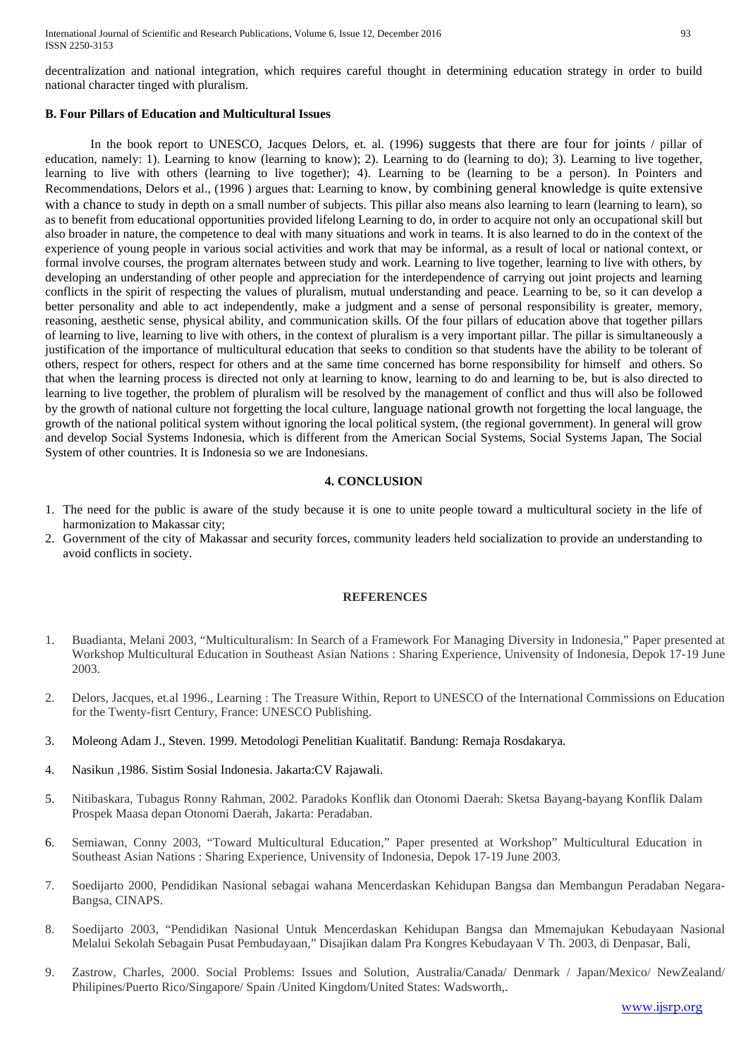decentralization and national integration, which requires careful thought in determining education strategy in order to build national character tinged with pluralism.

### **B. Four Pillars of Education and Multicultural Issues**

In the book report to UNESCO, Jacques Delors, et. al. (1996) suggests that there are four for joints / pillar of education, namely: 1). Learning to know (learning to know); 2). Learning to do (learning to do); 3). Learning to live together, learning to live with others (learning to live together); 4). Learning to be (learning to be a person). In Pointers and Recommendations, Delors et al., (1996 ) argues that: Learning to know, by combining general knowledge is quite extensive with a chance to study in depth on a small number of subjects. This pillar also means also learning to learn (learning to learn), so as to benefit from educational opportunities provided lifelong Learning to do, in order to acquire not only an occupational skill but also broader in nature, the competence to deal with many situations and work in teams. It is also learned to do in the context of the experience of young people in various social activities and work that may be informal, as a result of local or national context, or formal involve courses, the program alternates between study and work. Learning to live together, learning to live with others, by developing an understanding of other people and appreciation for the interdependence of carrying out joint projects and learning conflicts in the spirit of respecting the values of pluralism, mutual understanding and peace. Learning to be, so it can develop a better personality and able to act independently, make a judgment and a sense of personal responsibility is greater, memory, reasoning, aesthetic sense, physical ability, and communication skills. Of the four pillars of education above that together pillars of learning to live, learning to live with others, in the context of pluralism is a very important pillar. The pillar is simultaneously a justification of the importance of multicultural education that seeks to condition so that students have the ability to be tolerant of others, respect for others, respect for others and at the same time concerned has borne responsibility for himself and others. So that when the learning process is directed not only at learning to know, learning to do and learning to be, but is also directed to learning to live together, the problem of pluralism will be resolved by the management of conflict and thus will also be followed by the growth of national culture not forgetting the local culture, language national growth not forgetting the local language, the growth of the national political system without ignoring the local political system, (the regional government). In general will grow and develop Social Systems Indonesia, which is different from the American Social Systems, Social Systems Japan, The Social System of other countries. It is Indonesia so we are Indonesians.

## **4. CONCLUSION**

- 1. The need for the public is aware of the study because it is one to unite people toward a multicultural society in the life of harmonization to Makassar city;
- 2. Government of the city of Makassar and security forces, community leaders held socialization to provide an understanding to avoid conflicts in society.

### **REFERENCES**

- 1. Buadianta, Melani 2003, "Multiculturalism: In Search of a Framework For Managing Diversity in Indonesia," Paper presented at Workshop Multicultural Education in Southeast Asian Nations : Sharing Experience, Univensity of Indonesia, Depok 17-19 June 2003.
- 2. Delors, Jacques, et.al 1996., Learning : The Treasure Within, Report to UNESCO of the International Commissions on Education for the Twenty-fisrt Century, France: UNESCO Publishing.
- 3. Moleong Adam J., Steven. 1999. Metodologi Penelitian Kualitatif. Bandung: Remaja Rosdakarya.
- 4. Nasikun ,1986. Sistim Sosial Indonesia. Jakarta:CV Rajawali.
- 5. Nitibaskara, Tubagus Ronny Rahman, 2002. Paradoks Konflik dan Otonomi Daerah: Sketsa Bayang-bayang Konflik Dalam Prospek Maasa depan Otonomi Daerah, Jakarta: Peradaban.
- 6. Semiawan, Conny 2003, "Toward Multicultural Education," Paper presented at Workshop" Multicultural Education in Southeast Asian Nations : Sharing Experience, Univensity of Indonesia, Depok 17-19 June 2003.
- 7. Soedijarto 2000, Pendidikan Nasional sebagai wahana Mencerdaskan Kehidupan Bangsa dan Membangun Peradaban Negara-Bangsa, CINAPS.
- 8. Soedijarto 2003, "Pendidikan Nasional Untuk Mencerdaskan Kehidupan Bangsa dan Mmemajukan Kebudayaan Nasional Melalui Sekolah Sebagain Pusat Pembudayaan," Disajikan dalam Pra Kongres Kebudayaan V Th. 2003, di Denpasar, Bali,
- 9. Zastrow, Charles, 2000. Social Problems: Issues and Solution, Australia/Canada/ Denmark / Japan/Mexico/ NewZealand/ Philipines/Puerto Rico/Singapore/ Spain /United Kingdom/United States: Wadsworth,.